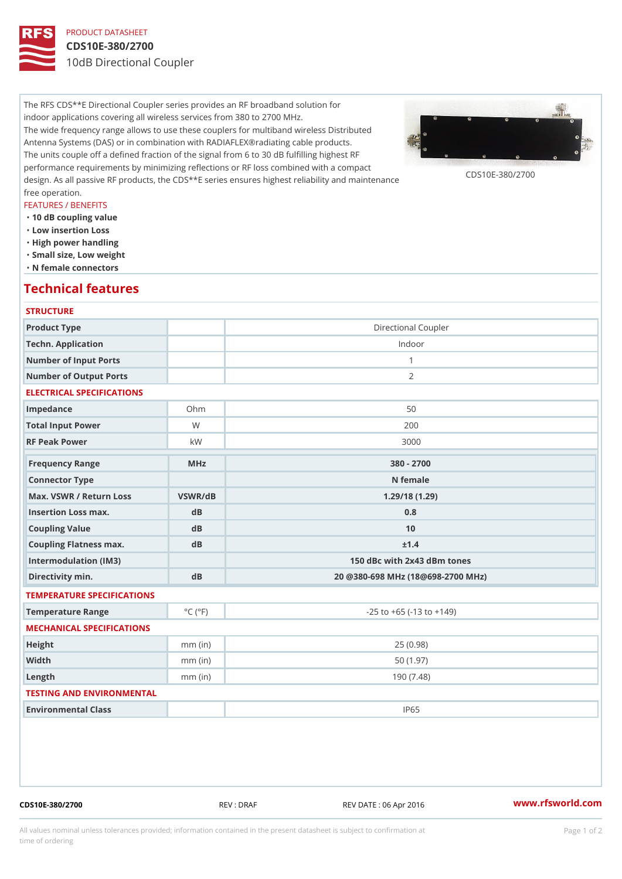# PRODUCT DATASHEET

# CDS10E-380/2700

10dB Directional Coupler

The RFS CDS\*\*E Directional Coupler series provides an RF broadband solution for indoor applications covering all wireless services from 380 to 2700 MHz. The wide frequency range allows to use these couplers for multiband wireless Distributed Antenna Systems (DAS) or in combination with RADIAFLEX®radiating cable products. The units couple off a defined fraction of the signal from 6 to 30 dB fulfilling highest RF performance requirements by minimizing reflections or RF loss combined with a compact design. As all passive RF products, the CDS\*\*E series ensures highest reliability and maintenance free operation.

### FEATURES / BENEFITS

- "10 dB coupling value
- "Low insertion Loss
- "High power handling
- "Small size, Low weight
- "N female connectors

# Technical features

| <b>STRUCTURE</b>                                |                             |                                    |
|-------------------------------------------------|-----------------------------|------------------------------------|
| Product Type                                    |                             | Directional Coupler                |
| Techn. Application                              |                             | Indoor                             |
| Number of Input Ports                           |                             | $\mathbf{1}$                       |
| Number of Output Ports                          |                             | 2                                  |
| ELECTRICAL SPECIFICATIONS                       |                             |                                    |
| Impedance                                       | $Oh$ m                      | 50                                 |
| Total Input Power                               | W                           | 200                                |
| RF Peak Power                                   | k W                         | 3000                               |
| Frequency Range                                 | MHz                         | $380 - 2700$                       |
| Connector Type                                  |                             | N female                           |
| Max. VSWR / Return LossVSWR/dB<br>1.29/18(1.29) |                             |                                    |
| Insertion Loss max.                             | $d$ B                       | 0.8                                |
| Coupling Value                                  | dB                          | 10                                 |
| Coupling Flatness max.                          | d B                         | ± 1.4                              |
| Intermodulation (IM3)                           |                             | 150 dBc with 2x43 dBm tones        |
| Directivity min.                                | dB                          | 20 @380-698 MHz (18@698-2700 MHz)  |
| TEMPERATURE SPECIFICATIONS                      |                             |                                    |
| Temperature Range                               | $^{\circ}$ C ( $^{\circ}$ F | $-25$ to $+65$ ( $-13$ to $+149$ ) |
| MECHANICAL SPECIFICATIONS                       |                             |                                    |
| Height                                          | $mm$ (in)                   | 25(0.98)                           |
| Width                                           | $mm$ (in)                   | 50(1.97)                           |
| $L$ ength                                       | $mm$ (in)                   | 190(7.48)                          |
| TESTING AND ENVIRONMENTAL                       |                             |                                    |
| Environmental Class                             |                             | IP65                               |

CDS10E-380/2700 REV : DRAF REV DATE : 06 Apr 2016 [www.](https://www.rfsworld.com)rfsworld.com

All values nominal unless tolerances provided; information contained in the present datasheet is subject to Pcapgeign manation time of ordering